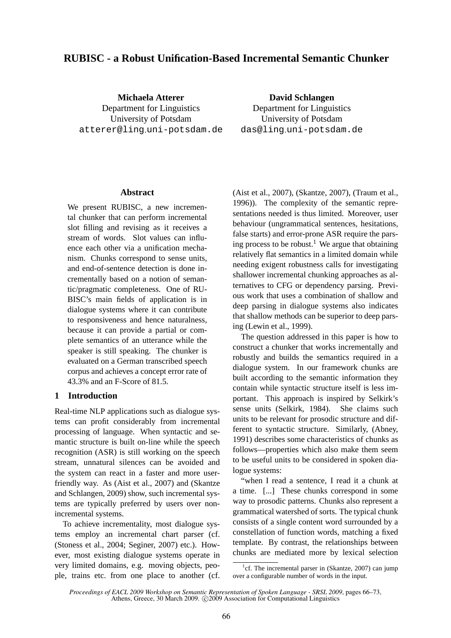# **RUBISC - a Robust Unification-Based Incremental Semantic Chunker**

**Michaela Atterer** Department for Linguistics University of Potsdam atterer@ling.uni-potsdam.de

**David Schlangen** Department for Linguistics University of Potsdam das@ling·uni-potsdam.de

#### **Abstract**

We present RUBISC, a new incremental chunker that can perform incremental slot filling and revising as it receives a stream of words. Slot values can influence each other via a unification mechanism. Chunks correspond to sense units, and end-of-sentence detection is done incrementally based on a notion of semantic/pragmatic completeness. One of RU-BISC's main fields of application is in dialogue systems where it can contribute to responsiveness and hence naturalness, because it can provide a partial or complete semantics of an utterance while the speaker is still speaking. The chunker is evaluated on a German transcribed speech corpus and achieves a concept error rate of 43.3% and an F-Score of 81.5.

## **1 Introduction**

Real-time NLP applications such as dialogue systems can profit considerably from incremental processing of language. When syntactic and semantic structure is built on-line while the speech recognition (ASR) is still working on the speech stream, unnatural silences can be avoided and the system can react in a faster and more userfriendly way. As (Aist et al., 2007) and (Skantze and Schlangen, 2009) show, such incremental systems are typically preferred by users over nonincremental systems.

To achieve incrementality, most dialogue systems employ an incremental chart parser (cf. (Stoness et al., 2004; Seginer, 2007) etc.). However, most existing dialogue systems operate in very limited domains, e.g. moving objects, people, trains etc. from one place to another (cf.

(Aist et al., 2007), (Skantze, 2007), (Traum et al., 1996)). The complexity of the semantic representations needed is thus limited. Moreover, user behaviour (ungrammatical sentences, hesitations, false starts) and error-prone ASR require the parsing process to be robust.<sup>1</sup> We argue that obtaining relatively flat semantics in a limited domain while needing exigent robustness calls for investigating shallower incremental chunking approaches as alternatives to CFG or dependency parsing. Previous work that uses a combination of shallow and deep parsing in dialogue systems also indicates that shallow methods can be superior to deep parsing (Lewin et al., 1999).

The question addressed in this paper is how to construct a chunker that works incrementally and robustly and builds the semantics required in a dialogue system. In our framework chunks are built according to the semantic information they contain while syntactic structure itself is less important. This approach is inspired by Selkirk's sense units (Selkirk, 1984). She claims such units to be relevant for prosodic structure and different to syntactic structure. Similarly, (Abney, 1991) describes some characteristics of chunks as follows—properties which also make them seem to be useful units to be considered in spoken dialogue systems:

"when I read a sentence, I read it a chunk at a time. [...] These chunks correspond in some way to prosodic patterns. Chunks also represent a grammatical watershed of sorts. The typical chunk consists of a single content word surrounded by a constellation of function words, matching a fixed template. By contrast, the relationships between chunks are mediated more by lexical selection

<sup>&</sup>lt;sup>1</sup>cf. The incremental parser in (Skantze, 2007) can jump over a configurable number of words in the input.

*Proceedings of EACL 2009 Workshop on Semantic Representation of Spoken Language - SRSL 2009*, pages 66–73, Athens, Greece, 30 March 2009. ©2009 Association for Computational Linguistics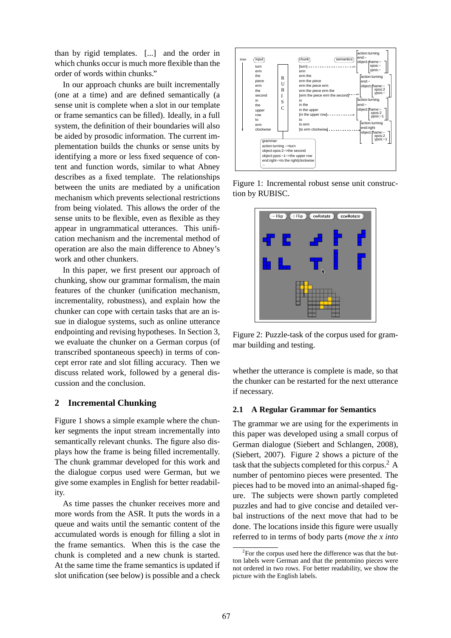than by rigid templates. [...] and the order in which chunks occur is much more flexible than the order of words within chunks."

In our approach chunks are built incrementally (one at a time) and are defined semantically (a sense unit is complete when a slot in our template or frame semantics can be filled). Ideally, in a full system, the definition of their boundaries will also be aided by prosodic information. The current implementation builds the chunks or sense units by identifying a more or less fixed sequence of content and function words, similar to what Abney describes as a fixed template. The relationships between the units are mediated by a unification mechanism which prevents selectional restrictions from being violated. This allows the order of the sense units to be flexible, even as flexible as they appear in ungrammatical utterances. This unification mechanism and the incremental method of operation are also the main difference to Abney's work and other chunkers.

In this paper, we first present our approach of chunking, show our grammar formalism, the main features of the chunker (unification mechanism, incrementality, robustness), and explain how the chunker can cope with certain tasks that are an issue in dialogue systems, such as online utterance endpointing and revising hypotheses. In Section 3, we evaluate the chunker on a German corpus (of transcribed spontaneous speech) in terms of concept error rate and slot filling accuracy. Then we discuss related work, followed by a general discussion and the conclusion.

# **2 Incremental Chunking**

Figure 1 shows a simple example where the chunker segments the input stream incrementally into semantically relevant chunks. The figure also displays how the frame is being filled incrementally. The chunk grammar developed for this work and the dialogue corpus used were German, but we give some examples in English for better readability.

As time passes the chunker receives more and more words from the ASR. It puts the words in a queue and waits until the semantic content of the accumulated words is enough for filling a slot in the frame semantics. When this is the case the chunk is completed and a new chunk is started. At the same time the frame semantics is updated if slot unification (see below) is possible and a check



Figure 1: Incremental robust sense unit construction by RUBISC.



Figure 2: Puzzle-task of the corpus used for grammar building and testing.

whether the utterance is complete is made, so that the chunker can be restarted for the next utterance if necessary.

#### **2.1 A Regular Grammar for Semantics**

The grammar we are using for the experiments in this paper was developed using a small corpus of German dialogue (Siebert and Schlangen, 2008), (Siebert, 2007). Figure 2 shows a picture of the task that the subjects completed for this corpus.<sup>2</sup> A number of pentomino pieces were presented. The pieces had to be moved into an animal-shaped figure. The subjects were shown partly completed puzzles and had to give concise and detailed verbal instructions of the next move that had to be done. The locations inside this figure were usually referred to in terms of body parts (*move the x into*

<sup>&</sup>lt;sup>2</sup>For the corpus used here the difference was that the button labels were German and that the pentomino pieces were not ordered in two rows. For better readability, we show the picture with the English labels.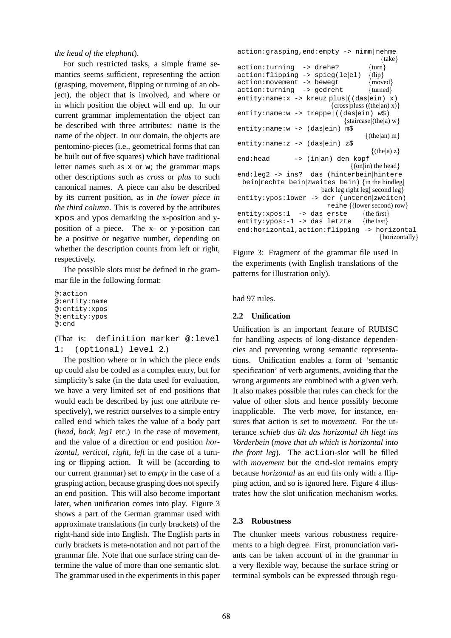*the head of the elephant*).

For such restricted tasks, a simple frame semantics seems sufficient, representing the action (grasping, movement, flipping or turning of an object), the object that is involved, and where or in which position the object will end up. In our current grammar implementation the object can be described with three attributes: name is the name of the object. In our domain, the objects are pentomino-pieces (i.e., geometrical forms that can be built out of five squares) which have traditional letter names such as x or w; the grammar maps other descriptions such as *cross* or *plus* to such canonical names. A piece can also be described by its current position, as in *the lower piece in the third column*. This is covered by the attributes xpos and ypos demarking the x-position and yposition of a piece. The x- or y-position can be a positive or negative number, depending on whether the description counts from left or right, respectively.

The possible slots must be defined in the grammar file in the following format:

```
@:action
@:entity:name
@:entity:xpos
@:entity:ypos
@:end
```
(That is: definition marker @:level 1: (optional) level 2.)

The position where or in which the piece ends up could also be coded as a complex entry, but for simplicity's sake (in the data used for evaluation, we have a very limited set of end positions that would each be described by just one attribute respectively), we restrict ourselves to a simple entry called end which takes the value of a body part (*head, back, leg1* etc.) in the case of movement, and the value of a direction or end position *horizontal, vertical, right, left* in the case of a turning or flipping action. It will be (according to our current grammar) set to *empty* in the case of a grasping action, because grasping does not specify an end position. This will also become important later, when unification comes into play. Figure 3 shows a part of the German grammar used with approximate translations (in curly brackets) of the right-hand side into English. The English parts in curly brackets is meta-notation and not part of the grammar file. Note that one surface string can determine the value of more than one semantic slot. The grammar used in the experiments in this paper

```
action:grasping,end:empty -> nimm|nehme
                                              {take}
action:turning \rightarrow drehe? {turn}
action:flipping -> spieg(le|el) {flip}
action:movement -> bewegt {moved}<br>action:turning -> gedreht {turned}
action: turning -> gedreht
entity:name:x -> kreuz|plus|((das|ein) x)
                              \{cross|plus|((the|an) x)\}entity:name:w -> treppe|((das|ein) w$)
                                  {staircase|(the|a) w}
entity:name:w -> (das|ein) m$
                                         \{(the|an) m\}entity:name:z -> (das|ein) z$
                                          \{(the|a) z\}end:head -> (in|an) den kopf
                                    \{(\text{on}|\text{in}) \text{ the head}\}\end:leg2 -> ins? das (hinterbein|hintere
 bein|rechte bein|zweites bein) {in the hindleg|
                          back leg|right leg| second leg}
entity:ypos:lower -> der (unteren|zweiten)
                            reihe {(lower|second) row}
entity: xpos: 1 \rightarrow das erste {the first}<br>entity: ypos: -1 \rightarrow das letzte {the last}
entity: ypos: -1 -> das letzte
end:horizontal,action:flipping -> horizontal
                                             {horizontally}
```
Figure 3: Fragment of the grammar file used in the experiments (with English translations of the patterns for illustration only).

had 97 rules.

#### **2.2 Unification**

Unification is an important feature of RUBISC for handling aspects of long-distance dependencies and preventing wrong semantic representations. Unification enables a form of 'semantic specification' of verb arguments, avoiding that the wrong arguments are combined with a given verb. It also makes possible that rules can check for the value of other slots and hence possibly become inapplicable. The verb *move*, for instance, ensures that action is set to *movement*. For the utterance *schieb das ah das horizontal ¨ ah liegt ins ¨ Vorderbein* (*move that uh which is horizontal into the front leg*). The action-slot will be filled with *movement* but the end-slot remains empty because *horizontal* as an end fits only with a flipping action, and so is ignored here. Figure 4 illustrates how the slot unification mechanism works.

#### **2.3 Robustness**

The chunker meets various robustness requirements to a high degree. First, pronunciation variants can be taken account of in the grammar in a very flexible way, because the surface string or terminal symbols can be expressed through regu-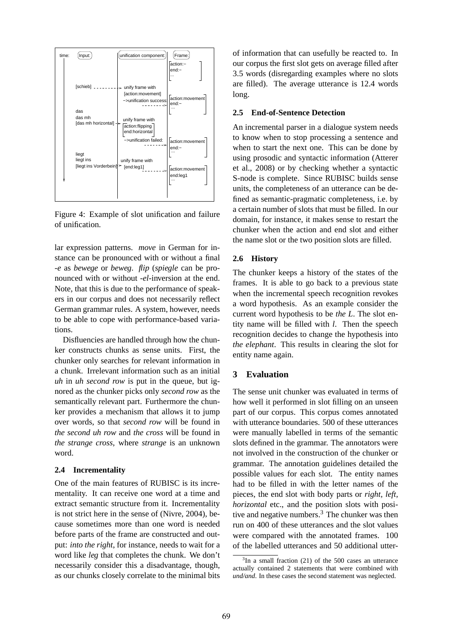

Figure 4: Example of slot unification and failure of unification.

lar expression patterns. *move* in German for instance can be pronounced with or without a final *-e* as *bewege* or *beweg*. *flip* (*spiegle* can be pronounced with or without *-el*-inversion at the end. Note, that this is due to the performance of speakers in our corpus and does not necessarily reflect German grammar rules. A system, however, needs to be able to cope with performance-based variations.

Disfluencies are handled through how the chunker constructs chunks as sense units. First, the chunker only searches for relevant information in a chunk. Irrelevant information such as an initial *uh* in *uh second row* is put in the queue, but ignored as the chunker picks only *second row* as the semantically relevant part. Furthermore the chunker provides a mechanism that allows it to jump over words, so that *second row* will be found in *the second uh row* and *the cross* will be found in *the strange cross*, where *strange* is an unknown word.

#### **2.4 Incrementality**

One of the main features of RUBISC is its incrementality. It can receive one word at a time and extract semantic structure from it. Incrementality is not strict here in the sense of (Nivre, 2004), because sometimes more than one word is needed before parts of the frame are constructed and output: *into the right*, for instance, needs to wait for a word like *leg* that completes the chunk. We don't necessarily consider this a disadvantage, though, as our chunks closely correlate to the minimal bits

of information that can usefully be reacted to. In our corpus the first slot gets on average filled after 3.5 words (disregarding examples where no slots are filled). The average utterance is 12.4 words long.

#### **2.5 End-of-Sentence Detection**

An incremental parser in a dialogue system needs to know when to stop processing a sentence and when to start the next one. This can be done by using prosodic and syntactic information (Atterer et al., 2008) or by checking whether a syntactic S-node is complete. Since RUBISC builds sense units, the completeness of an utterance can be defined as semantic-pragmatic completeness, i.e. by a certain number of slots that must be filled. In our domain, for instance, it makes sense to restart the chunker when the action and end slot and either the name slot or the two position slots are filled.

#### **2.6 History**

The chunker keeps a history of the states of the frames. It is able to go back to a previous state when the incremental speech recognition revokes a word hypothesis. As an example consider the current word hypothesis to be *the L*. The slot entity name will be filled with *l*. Then the speech recognition decides to change the hypothesis into *the elephant*. This results in clearing the slot for entity name again.

#### **3 Evaluation**

The sense unit chunker was evaluated in terms of how well it performed in slot filling on an unseen part of our corpus. This corpus comes annotated with utterance boundaries. 500 of these utterances were manually labelled in terms of the semantic slots defined in the grammar. The annotators were not involved in the construction of the chunker or grammar. The annotation guidelines detailed the possible values for each slot. The entity names had to be filled in with the letter names of the pieces, the end slot with body parts or *right, left, horizontal* etc., and the position slots with positive and negative numbers. $3$  The chunker was then run on 400 of these utterances and the slot values were compared with the annotated frames. 100 of the labelled utterances and 50 additional utter-

<sup>&</sup>lt;sup>3</sup>In a small fraction (21) of the 500 cases an utterance actually contained 2 statements that were combined with *und/and*. In these cases the second statement was neglected.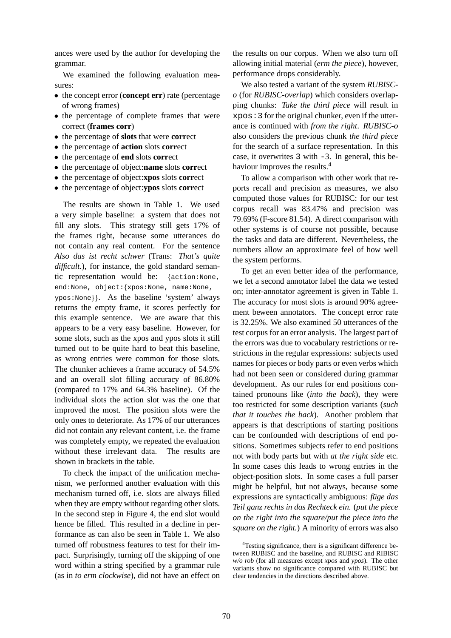ances were used by the author for developing the grammar.

We examined the following evaluation measures:

- the concept error (**concept err**) rate (percentage of wrong frames)
- the percentage of complete frames that were correct (**frames corr**)
- the percentage of **slots** that were **corr**ect
- the percentage of **action** slots **corr**ect
- the percentage of **end** slots **corr**ect
- the percentage of object:**name** slots **corr**ect
- the percentage of object:**xpos** slots **corr**ect
- the percentage of object:**ypos** slots **corr**ect

The results are shown in Table 1. We used a very simple baseline: a system that does not fill any slots. This strategy still gets 17% of the frames right, because some utterances do not contain any real content. For the sentence *Also das ist recht schwer* (Trans: *That's quite* difficult.), for instance, the gold standard semantic representation would be: {action:None, end:None, object:{xpos:None, name:None, ypos:None}}. As the baseline 'system' always returns the empty frame, it scores perfectly for this example sentence. We are aware that this appears to be a very easy baseline. However, for some slots, such as the xpos and ypos slots it still turned out to be quite hard to beat this baseline, as wrong entries were common for those slots. The chunker achieves a frame accuracy of 54.5% and an overall slot filling accuracy of 86.80% (compared to 17% and 64.3% baseline). Of the individual slots the action slot was the one that improved the most. The position slots were the only ones to deteriorate. As 17% of our utterances did not contain any relevant content, i.e. the frame was completely empty, we repeated the evaluation without these irrelevant data. The results are shown in brackets in the table.

To check the impact of the unification mechanism, we performed another evaluation with this mechanism turned off, i.e. slots are always filled when they are empty without regarding other slots. In the second step in Figure 4, the end slot would hence be filled. This resulted in a decline in performance as can also be seen in Table 1. We also turned off robustness features to test for their impact. Surprisingly, turning off the skipping of one word within a string specified by a grammar rule (as in *to erm clockwise*), did not have an effect on the results on our corpus. When we also turn off allowing initial material (*erm the piece*), however, performance drops considerably.

We also tested a variant of the system *RUBISCo* (for *RUBISC-overlap*) which considers overlapping chunks: *Take the third piece* will result in xpos:3 for the original chunker, even if the utterance is continued with *from the right*. *RUBISC-o* also considers the previous chunk *the third piece* for the search of a surface representation. In this case, it overwrites 3 with -3. In general, this behaviour improves the results.<sup>4</sup>

To allow a comparison with other work that reports recall and precision as measures, we also computed those values for RUBISC: for our test corpus recall was 83.47% and precision was 79.69% (F-score 81.54). A direct comparison with other systems is of course not possible, because the tasks and data are different. Nevertheless, the numbers allow an approximate feel of how well the system performs.

To get an even better idea of the performance, we let a second annotator label the data we tested on; inter-annotator agreement is given in Table 1. The accuracy for most slots is around 90% agreement beween annotators. The concept error rate is 32.25%. We also examined 50 utterances of the test corpus for an error analysis. The largest part of the errors was due to vocabulary restrictions or restrictions in the regular expressions: subjects used names for pieces or body parts or even verbs which had not been seen or considered during grammar development. As our rules for end positions contained pronouns like (*into the back*), they were too restricted for some description variants (*such that it touches the back*). Another problem that appears is that descriptions of starting positions can be confounded with descriptions of end positions. Sometimes subjects refer to end positions not with body parts but with *at the right side* etc. In some cases this leads to wrong entries in the object-position slots. In some cases a full parser might be helpful, but not always, because some expressions are syntactically ambiguous: *fuge das Teil ganz rechts in das Rechteck ein.* (*put the piece on the right into the square/put the piece into the square on the right.*) A minority of errors was also

<sup>&</sup>lt;sup>4</sup>Testing significance, there is a significant difference between RUBISC and the baseline, and RUBISC and RIBISC *w/o rob* (for all measures except *xpos* and *ypos*). The other variants show no significance compared with RUBISC but clear tendencies in the directions described above.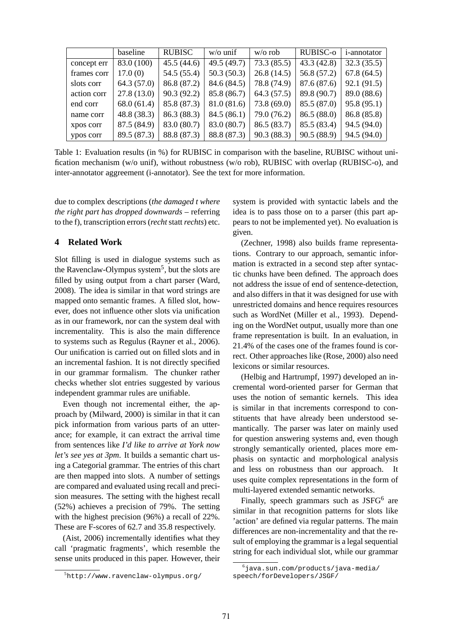|             | baseline    | <b>RUBISC</b> | $w/o$ unif  | $w/o$ rob   | RUBISC-0    | <i>i</i> -annotator |
|-------------|-------------|---------------|-------------|-------------|-------------|---------------------|
| concept err | 83.0 (100)  | 45.5(44.6)    | 49.5 (49.7) | 73.3(85.5)  | 43.3(42.8)  | 32.3(35.5)          |
| frames corr | 17.0(0)     | 54.5 (55.4)   | 50.3(50.3)  | 26.8(14.5)  | 56.8 (57.2) | 67.8(64.5)          |
| slots corr  | 64.3(57.0)  | 86.8 (87.2)   | 84.6 (84.5) | 78.8 (74.9) | 87.6 (87.6) | 92.1(91.5)          |
| action corr | 27.8(13.0)  | 90.3(92.2)    | 85.8 (86.7) | 64.3(57.5)  | 89.8 (90.7) | 89.0 (88.6)         |
| end corr    | 68.0(61.4)  | 85.8 (87.3)   | 81.0(81.6)  | 73.8 (69.0) | 85.5 (87.0) | 95.8(95.1)          |
| name corr   | 48.8(38.3)  | 86.3 (88.3)   | 84.5(86.1)  | 79.0 (76.2) | 86.5(88.0)  | 86.8(85.8)          |
| xpos corr   | 87.5 (84.9) | 83.0 (80.7)   | 83.0 (80.7) | 86.5 (83.7) | 85.5 (83.4) | 94.5(94.0)          |
| ypos corr   | 89.5 (87.3) | 88.8 (87.3)   | 88.8 (87.3) | 90.3 (88.3) | 90.5(88.9)  | 94.5(94.0)          |

Table 1: Evaluation results (in %) for RUBISC in comparison with the baseline, RUBISC without unification mechanism (w/o unif), without robustness (w/o rob), RUBISC with overlap (RUBISC-o), and inter-annotator aggreement (i-annotator). See the text for more information.

due to complex descriptions (*the damaged t where the right part has dropped downwards* – referring to the f), transcription errors (*recht*statt*rechts*) etc.

# **4 Related Work**

Slot filling is used in dialogue systems such as the Ravenclaw-Olympus system<sup>5</sup>, but the slots are filled by using output from a chart parser (Ward, 2008). The idea is similar in that word strings are mapped onto semantic frames. A filled slot, however, does not influence other slots via unification as in our framework, nor can the system deal with incrementality. This is also the main difference to systems such as Regulus (Rayner et al., 2006). Our unification is carried out on filled slots and in an incremental fashion. It is not directly specified in our grammar formalism. The chunker rather checks whether slot entries suggested by various independent grammar rules are unifiable.

Even though not incremental either, the approach by (Milward, 2000) is similar in that it can pick information from various parts of an utterance; for example, it can extract the arrival time from sentences like *I'd like to arrive at York now let's see yes at 3pm*. It builds a semantic chart using a Categorial grammar. The entries of this chart are then mapped into slots. A number of settings are compared and evaluated using recall and precision measures. The setting with the highest recall (52%) achieves a precision of 79%. The setting with the highest precision (96%) a recall of 22%. These are F-scores of 62.7 and 35.8 respectively.

(Aist, 2006) incrementally identifies what they call 'pragmatic fragments', which resemble the sense units produced in this paper. However, their

system is provided with syntactic labels and the idea is to pass those on to a parser (this part appears to not be implemented yet). No evaluation is given.

(Zechner, 1998) also builds frame representations. Contrary to our approach, semantic information is extracted in a second step after syntactic chunks have been defined. The approach does not address the issue of end of sentence-detection, and also differs in that it was designed for use with unrestricted domains and hence requires resources such as WordNet (Miller et al., 1993). Depending on the WordNet output, usually more than one frame representation is built. In an evaluation, in 21.4% of the cases one of the frames found is correct. Other approaches like (Rose, 2000) also need lexicons or similar resources.

(Helbig and Hartrumpf, 1997) developed an incremental word-oriented parser for German that uses the notion of semantic kernels. This idea is similar in that increments correspond to constituents that have already been understood semantically. The parser was later on mainly used for question answering systems and, even though strongly semantically oriented, places more emphasis on syntactic and morphological analysis and less on robustness than our approach. It uses quite complex representations in the form of multi-layered extended semantic networks.

Finally, speech grammars such as JSFG<sup>6</sup> are similar in that recognition patterns for slots like 'action' are defined via regular patterns. The main differences are non-incrementality and that the result of employing the grammar is a legal sequential string for each individual slot, while our grammar

<sup>5</sup>http://www.ravenclaw-olympus.org/

 $6$ java.sun.com/products/java-media/ speech/forDevelopers/JSGF/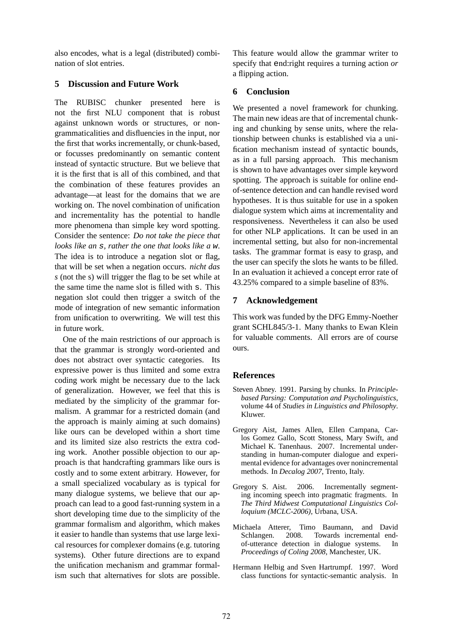also encodes, what is a legal (distributed) combination of slot entries.

# **5 Discussion and Future Work**

The RUBISC chunker presented here is not the first NLU component that is robust against unknown words or structures, or nongrammaticalities and disfluencies in the input, nor the first that works incrementally, or chunk-based, or focusses predominantly on semantic content instead of syntactic structure. But we believe that it is the first that is all of this combined, and that the combination of these features provides an advantage—at least for the domains that we are working on. The novel combination of unification and incrementality has the potential to handle more phenomena than simple key word spotting. Consider the sentence: *Do not take the piece that looks like an* s*, rather the one that looks like a* w. The idea is to introduce a negation slot or flag, that will be set when a negation occurs. *nicht das s* (not the s) will trigger the flag to be set while at the same time the name slot is filled with s. This negation slot could then trigger a switch of the mode of integration of new semantic information from unification to overwriting. We will test this in future work.

One of the main restrictions of our approach is that the grammar is strongly word-oriented and does not abstract over syntactic categories. Its expressive power is thus limited and some extra coding work might be necessary due to the lack of generalization. However, we feel that this is mediated by the simplicity of the grammar formalism. A grammar for a restricted domain (and the approach is mainly aiming at such domains) like ours can be developed within a short time and its limited size also restricts the extra coding work. Another possible objection to our approach is that handcrafting grammars like ours is costly and to some extent arbitrary. However, for a small specialized vocabulary as is typical for many dialogue systems, we believe that our approach can lead to a good fast-running system in a short developing time due to the simplicity of the grammar formalism and algorithm, which makes it easier to handle than systems that use large lexical resources for complexer domains (e.g. tutoring systems). Other future directions are to expand the unification mechanism and grammar formalism such that alternatives for slots are possible. This feature would allow the grammar writer to specify that end:right requires a turning action *or* a flipping action.

## **6 Conclusion**

We presented a novel framework for chunking. The main new ideas are that of incremental chunking and chunking by sense units, where the relationship between chunks is established via a unification mechanism instead of syntactic bounds, as in a full parsing approach. This mechanism is shown to have advantages over simple keyword spotting. The approach is suitable for online endof-sentence detection and can handle revised word hypotheses. It is thus suitable for use in a spoken dialogue system which aims at incrementality and responsiveness. Nevertheless it can also be used for other NLP applications. It can be used in an incremental setting, but also for non-incremental tasks. The grammar format is easy to grasp, and the user can specify the slots he wants to be filled. In an evaluation it achieved a concept error rate of 43.25% compared to a simple baseline of 83%.

# **7 Acknowledgement**

This work was funded by the DFG Emmy-Noether grant SCHL845/3-1. Many thanks to Ewan Klein for valuable comments. All errors are of course ours.

# **References**

- Steven Abney. 1991. Parsing by chunks. In *Principlebased Parsing: Computation and Psycholinguistics*, volume 44 of *Studies in Linguistics and Philosophy*. Kluwer.
- Gregory Aist, James Allen, Ellen Campana, Carlos Gomez Gallo, Scott Stoness, Mary Swift, and Michael K. Tanenhaus. 2007. Incremental understanding in human-computer dialogue and experimental evidence for advantages over nonincremental methods. In *Decalog 2007*, Trento, Italy.
- Gregory S. Aist. 2006. Incrementally segmenting incoming speech into pragmatic fragments. In *The Third Midwest Computational Linguistics Colloquium (MCLC-2006)*, Urbana, USA.
- Michaela Atterer, Timo Baumann, and David Schlangen. 2008. Towards incremental endof-utterance detection in dialogue systems. In *Proceedings of Coling 2008*, Manchester, UK.
- Hermann Helbig and Sven Hartrumpf. 1997. Word class functions for syntactic-semantic analysis. In